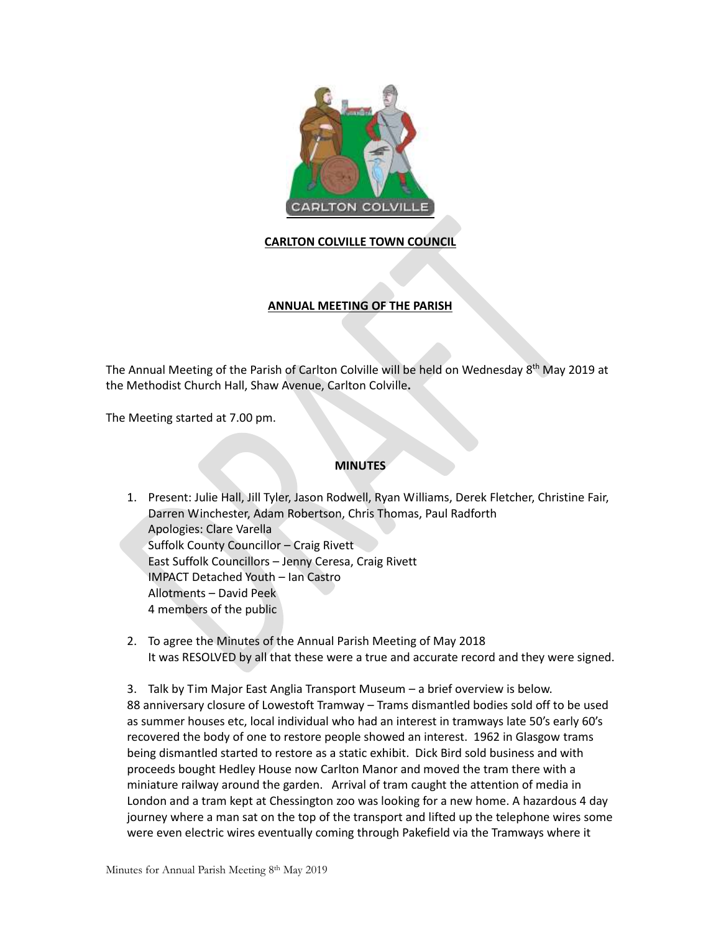

## **CARLTON COLVILLE TOWN COUNCIL**

## **ANNUAL MEETING OF THE PARISH**

The Annual Meeting of the Parish of Carlton Colville will be held on Wednesday 8<sup>th</sup> May 2019 at the Methodist Church Hall, Shaw Avenue, Carlton Colville**.**

The Meeting started at 7.00 pm.

## **MINUTES**

1. Present: Julie Hall, Jill Tyler, Jason Rodwell, Ryan Williams, Derek Fletcher, Christine Fair, Darren Winchester, Adam Robertson, Chris Thomas, Paul Radforth Apologies: Clare Varella Suffolk County Councillor – Craig Rivett East Suffolk Councillors – Jenny Ceresa, Craig Rivett IMPACT Detached Youth – Ian Castro Allotments – David Peek 4 members of the public

2. To agree the Minutes of the Annual Parish Meeting of May 2018 It was RESOLVED by all that these were a true and accurate record and they were signed.

3. Talk by Tim Major East Anglia Transport Museum – a brief overview is below. 88 anniversary closure of Lowestoft Tramway – Trams dismantled bodies sold off to be used as summer houses etc, local individual who had an interest in tramways late 50's early 60's recovered the body of one to restore people showed an interest. 1962 in Glasgow trams being dismantled started to restore as a static exhibit. Dick Bird sold business and with proceeds bought Hedley House now Carlton Manor and moved the tram there with a miniature railway around the garden. Arrival of tram caught the attention of media in London and a tram kept at Chessington zoo was looking for a new home. A hazardous 4 day journey where a man sat on the top of the transport and lifted up the telephone wires some were even electric wires eventually coming through Pakefield via the Tramways where it